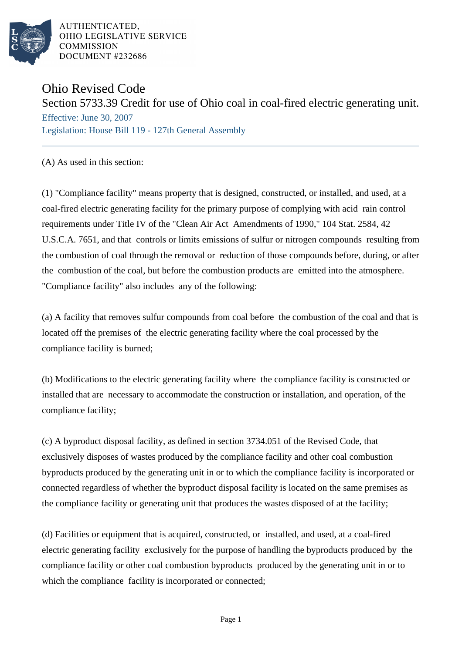

AUTHENTICATED, OHIO LEGISLATIVE SERVICE **COMMISSION** DOCUMENT #232686

## Ohio Revised Code

Section 5733.39 Credit for use of Ohio coal in coal-fired electric generating unit.

Effective: June 30, 2007 Legislation: House Bill 119 - 127th General Assembly

(A) As used in this section:

(1) "Compliance facility" means property that is designed, constructed, or installed, and used, at a coal-fired electric generating facility for the primary purpose of complying with acid rain control requirements under Title IV of the "Clean Air Act Amendments of 1990," 104 Stat. 2584, 42 U.S.C.A. 7651, and that controls or limits emissions of sulfur or nitrogen compounds resulting from the combustion of coal through the removal or reduction of those compounds before, during, or after the combustion of the coal, but before the combustion products are emitted into the atmosphere. "Compliance facility" also includes any of the following:

(a) A facility that removes sulfur compounds from coal before the combustion of the coal and that is located off the premises of the electric generating facility where the coal processed by the compliance facility is burned;

(b) Modifications to the electric generating facility where the compliance facility is constructed or installed that are necessary to accommodate the construction or installation, and operation, of the compliance facility;

(c) A byproduct disposal facility, as defined in section 3734.051 of the Revised Code, that exclusively disposes of wastes produced by the compliance facility and other coal combustion byproducts produced by the generating unit in or to which the compliance facility is incorporated or connected regardless of whether the byproduct disposal facility is located on the same premises as the compliance facility or generating unit that produces the wastes disposed of at the facility;

(d) Facilities or equipment that is acquired, constructed, or installed, and used, at a coal-fired electric generating facility exclusively for the purpose of handling the byproducts produced by the compliance facility or other coal combustion byproducts produced by the generating unit in or to which the compliance facility is incorporated or connected;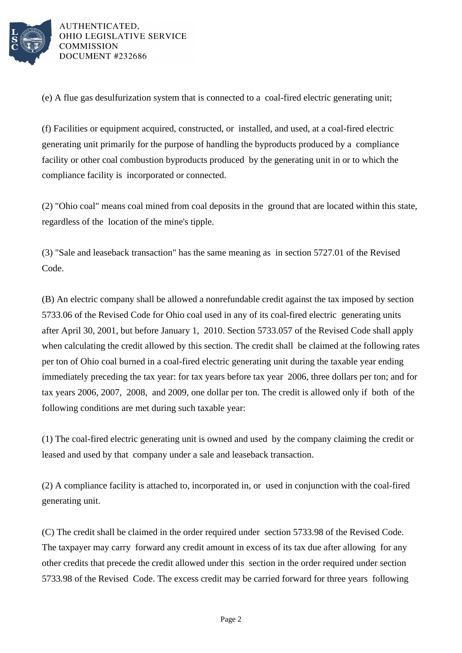

AUTHENTICATED. OHIO LEGISLATIVE SERVICE **COMMISSION** DOCUMENT #232686

(e) A flue gas desulfurization system that is connected to a coal-fired electric generating unit;

(f) Facilities or equipment acquired, constructed, or installed, and used, at a coal-fired electric generating unit primarily for the purpose of handling the byproducts produced by a compliance facility or other coal combustion byproducts produced by the generating unit in or to which the compliance facility is incorporated or connected.

(2) "Ohio coal" means coal mined from coal deposits in the ground that are located within this state, regardless of the location of the mine's tipple.

(3) "Sale and leaseback transaction" has the same meaning as in section 5727.01 of the Revised Code.

(B) An electric company shall be allowed a nonrefundable credit against the tax imposed by section 5733.06 of the Revised Code for Ohio coal used in any of its coal-fired electric generating units after April 30, 2001, but before January 1, 2010. Section 5733.057 of the Revised Code shall apply when calculating the credit allowed by this section. The credit shall be claimed at the following rates per ton of Ohio coal burned in a coal-fired electric generating unit during the taxable year ending immediately preceding the tax year: for tax years before tax year 2006, three dollars per ton; and for tax years 2006, 2007, 2008, and 2009, one dollar per ton. The credit is allowed only if both of the following conditions are met during such taxable year:

(1) The coal-fired electric generating unit is owned and used by the company claiming the credit or leased and used by that company under a sale and leaseback transaction.

(2) A compliance facility is attached to, incorporated in, or used in conjunction with the coal-fired generating unit.

(C) The credit shall be claimed in the order required under section 5733.98 of the Revised Code. The taxpayer may carry forward any credit amount in excess of its tax due after allowing for any other credits that precede the credit allowed under this section in the order required under section 5733.98 of the Revised Code. The excess credit may be carried forward for three years following